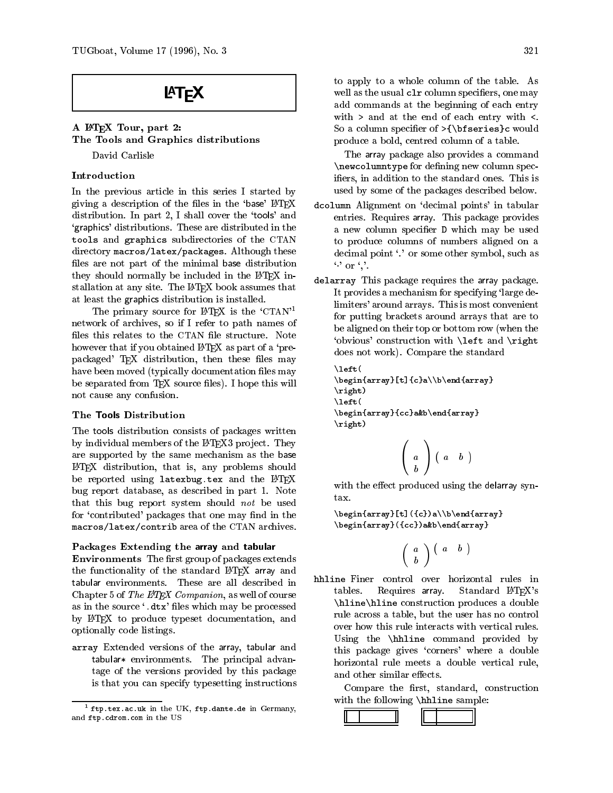# **LAT<sub>F</sub>X**

# A LATEX Tour, part 2: The Tools and Graphics distributions

David Carlisle

## Introduction

In the previous article in this series I started by giving a description of the files in the 'base'  $\LaTeX{}$ distribution. In part 2, I shall cover the `tools' and `graphics' distributions. These are distributed in the tools and graphics subdirectories of the CTAN directory macros/latex/packages. Although these files are not part of the minimal base distribution they should normally be included in the IATEX installation at any site. The LAT<sub>EX</sub> book assumes that at least the graphics distribution is installed.

The primary source for  $\text{MTF}X$  is the 'CTAN'<sup>1</sup> network of archives, so if I refer to path names of files this relates to the CTAN file structure. Note however that if you obtained LATEX as part of a 'prepackaged' TEX distribution, then these files may have been moved (typically documentation files may be separated from TFX source files). I hope this will not cause any confusion.

### The Tools Distribution

The tools distribution consists of packages written by individual members of the IATFX3 project. They are supported by the same mechanism as the base LATEX distribution, that is, any problems should be reported using latexbug.tex and the LATEX bug report database, as described in part 1. Note that this bug report system should not be used for 'contributed' packages that one may find in the macros/latex/contrib area of the CTAN archives.

#### Packages Extending the array and tabular

**Environments** The first group of packages extends the functionality of the standard LAT<sub>EX</sub> array and Chapter 5 of The L<sup>4</sup>T<sub>E</sub>X Companion, as well of course as in the source '.dtx' files which may be processed by LATEX to produce typeset documentation, and optionally code listings.

array Extended versions of the array, tabular and tabularet en international advance. The principal advancements tage of the versions provided by this package is that you can specify typesetting instructions

to apply to a whole column of the table. As well as the usual clr column specifiers, one may add commands at the beginning of each entry with  $>$  and at the end of each entry with  $\lt$ . So a column specifier of  $\{\bf$ series}c would produce a bold, centred column of a table.

The array package also provides a command \newcolumntype for defining new column specifiers, in addition to the standard ones. This is used by some of the packages described below.

- dcolumn Alignment on `decimal points' in tabular entries. Requires array. This package provides a new column specier D which may be used to produce columns of numbers aligned on a decimal point `.' or some other symbol, such as  $\cdots$  or  $\cdots$ .
- delarray This package requires the array package. It provides a mechanism for specifying 'large delimiters' around arrays. This is most convenient for putting brackets around arrays that are to be aligned on their top or bottom row (when the `obvious' construction with \left and \right does not work). Compare the standard

```
\left(\begin{array}[t]{c}a\\b\end{array}\right)\left(\begin{array}{cc}a&b\end{array}\right)
```

$$
\left(\begin{array}{c}a\\b\end{array}\right)\left(\begin{array}{cc}a&b\end{array}\right)
$$

with the effect produced using the delarray syn-

\begin{array}[t]({c})a\\b\end{array}\begin{array}({cc})a&b\end{array}

$$
\left(\begin{array}{c}a\\b\end{array}\right)\left(\begin{array}{cc}a&b\end{array}\right)
$$

hhline Finer control over horizontal rules in tables. Requires array. Standard LAT<sub>F</sub>X's \hline\hline construction produces a double rule across a table, but the user has no control over how this rule interacts with vertical rules. Using the \hhline command provided by this package gives 'corners' where a double horizontal rule meets a double vertical rule, and other similar effects.

Compare the first, standard, construction with the following \hhline sample:



<sup>1</sup> ftp.tex.ac.uk in the UK, ftp.dante.de in Germany, and ftp.cdrom.com in the US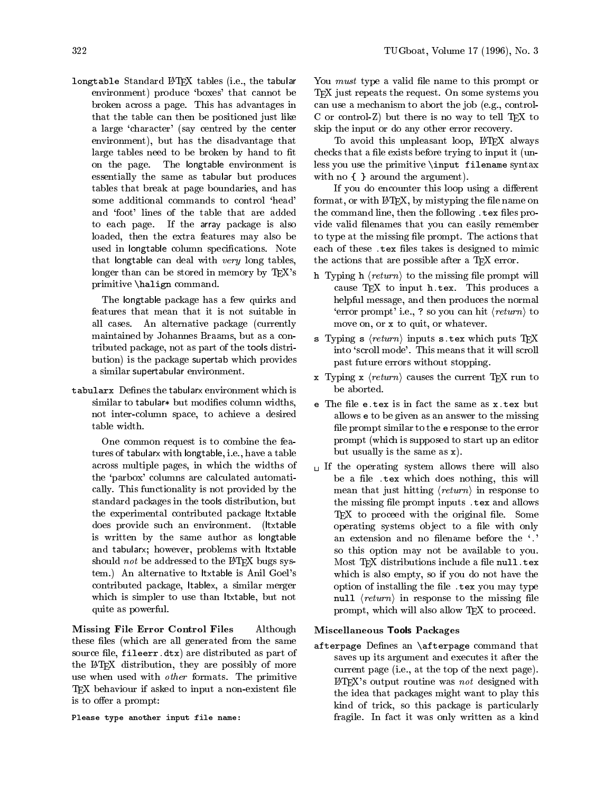longtable Standard LATEX tables (i.e., the tabular environment) produce 'boxes' that cannot be broken across a page. This has advantages in that the table can then be positioned just like a large `character' (say centred by the center environment), but has the disadvantage that large tables need to be broken by hand to fit on the page. The longtable environment is essentially the same as tabular but produces tables that break at page boundaries, and has some additional commands to control 'head' and `foot' lines of the table that are added to each page. If the array package is also loaded, then the extra features may also be used in longtable column specifications. Note that longtable can deal with  $very$  long tables, longer than can be stored in memory by T<sub>E</sub>X's primitive \halign command.

The longtable package has a few quirks and features that mean that it is not suitable in all cases. An alternative package (currently maintained by Johannes Braams, but as a contributed package, not as part of the tools distribution) is the package supertab which provides a similar supertabular environment.

tabularx Defines the tabularx environment which is similar to tabular to modificate columns widths,  $\sim$ not inter-column space, to achieve a desired

One common request is to combine the features of tabularx with longtable, i.e., have a table across multiple pages, in which the widths of the `parbox' columns are calculated automatically. This functionality is not provided by the standard packages in the tools distribution, but the experimental contributed package ltxtable does provide such an environment. (ltxtable is written by the same author as longtable and tabularx; however, problems with ltxtable should not be addressed to the IATEX bugs system.) An alternative to ltxtable is Anil Goel's contributed package, ltablex, a similar merger which is simpler to use than ltxtable, but not quite as powerful.

Missing File Error Control Files Although these files (which are all generated from the same source file, fileerr.dtx) are distributed as part of the LATEX distribution, they are possibly of more use when used with other formats. The primitive TEX behaviour if asked to input a non-existent file is to offer a prompt:

Please type another input file name:

You *must* type a valid file name to this prompt or TEX just repeats the request. On some systems you can use a mechanism to abort the job (e.g., control-C or control-Z) but there is no way to tell  $T_F X$  to skip the input or do any other error recovery.

To avoid this unpleasant loop, LATFX always checks that a file exists before trying to input it (unless you use the primitive \input filename syntax with no  $\{\}$  around the argument).

If you do encounter this loop using a different format, or with  $\La{B}$   $\La{F}$ X, by mistyping the file name on the command line, then the following . tex files provide valid filenames that you can easily remember to type at the missing file prompt. The actions that each of these .tex files takes is designed to mimic the actions that are possible after a T<sub>EX</sub> error.

- h Typing h  $\langle return \rangle$  to the missing file prompt will cause TFX to input h.tex. This produces a helpful message, and then produces the normal 'error prompt' i.e., ? so you can hit  $\langle return \rangle$  to move on, or x to quit, or whatever.
- s Typing s  $\langle return \rangle$  inputs s.tex which puts TFX into 'scroll mode'. This means that it will scroll past future errors without stopping.
- x Typing x  $\langle return \rangle$  causes the current TFX run to be aborted.
- e The file e.tex is in fact the same as x.tex but allows e to be given as an answer to the missing file prompt similar to the e response to the error prompt (which is supposed to start up an editor but usually is the same as  $x$ ).<br>If the operating system allows there will also
- be a file .tex which does nothing, this will mean that just hitting  $\langle return \rangle$  in response to the missing file prompt inputs . tex and allows  $Tr[X]$  to proceed with the original file. Some operating systems object to a file with only an extension and no filename before the '.' so this option may not be available to you. Most TEX distributions include a file null.tex which is also empty, so if you do not have the option of installing the file . tex you may type null  $\langle return \rangle$  in response to the missing file prompt, which will also allow T<sub>EX</sub> to proceed.

#### Miscellaneous Tools Packages

afterpage Defines an \afterpage command that saves up its argument and executes it after the current page (i.e., at the top of the next page).  $L^2T$ FX's output routine was *not* designed with the idea that packages might want to play this kind of trick, so this package is particularly fragile. In fact it was only written as a kind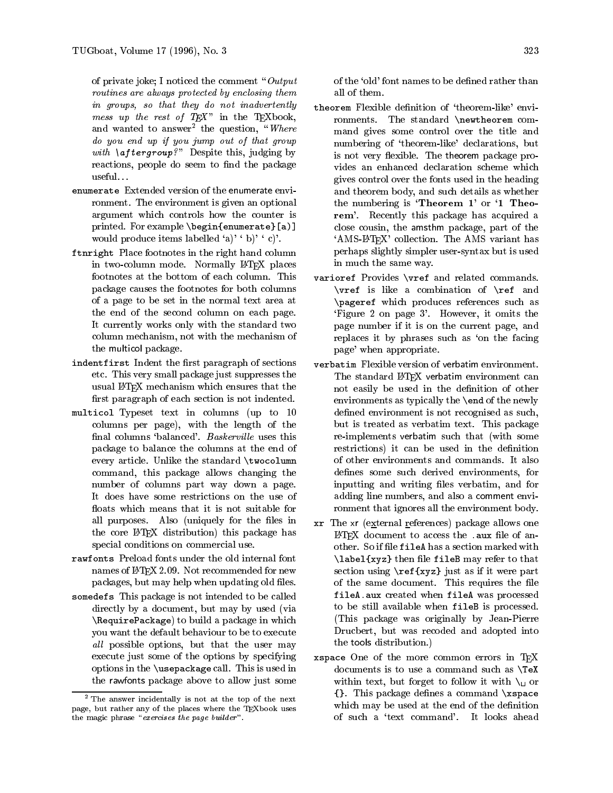of private joke; I noticed the comment " $Output$ routines are always protected by enclosing themin groups, so that they do not inadvertently messes up the rest of TEX  $\sim$   $\mu$ and wanted to answer<sup>2</sup> the question, "*Where* do you end up if you jump out of that group with  $\alpha$  , i.e.,  $\alpha$  , i.e.,  $\alpha$  ,  $\alpha$  , i.e.,  $\alpha$  ,  $\alpha$  ,  $\alpha$  ,  $\alpha$  ,  $\alpha$  ,  $\alpha$  ,  $\alpha$  ,  $\alpha$  ,  $\alpha$  ,  $\alpha$  ,  $\alpha$  ,  $\alpha$  ,  $\alpha$  ,  $\alpha$  ,  $\alpha$  ,  $\alpha$  ,  $\alpha$  ,  $\alpha$  ,  $\alpha$  ,  $\alpha$  ,  $\alpha$  ,  $\alpha$  ,  $\alpha$  ,  $\alpha$  ,  $\$ reactions, people do seem to find the package useful. . .

- enumerate Extended version of the enumerate environment. The environment is given an optional argument which controls how the counter is printed. For example \begin{enumerate}[a)] would produce items labelled 'a)'  $\langle b \rangle' \langle c \rangle'$ .
- ftnright Place footnotes in the right hand column in two-column mode. Normally LATEX places footnotes at the bottom of each column. This varior ef Provides \vref and related commands. package causes the footnotes for both columns of a page to be set in the normal text area at the end of the second column on each page. It currently works only with the standard two column mechanism, not with the mechanism of the multicol package.
- indentfirst Indent the first paragraph of sections etc. This very small package just suppresses the usual LATEX mechanism which ensures that the first paragraph of each section is not indented.
- multicol Typeset text in columns (up to 10 columns per page), with the length of the final columns 'balanced'. Baskerville uses this package to balance the columns at the end of every article. Unlike the standard \twocolumn command, this package allows changing the number of columns part way down a page. It does have some restrictions on the use of floats which means that it is not suitable for all purposes. Also (uniquely for the files in the core LAT<sub>F</sub>X distribution) this package has special conditions on commercial use.
- rawfonts Preload fonts under the old internal font names of  $\text{LipX } 2.09$ . Not recommended for new packages, but may help when updating old files.
- somedefs This package is not intended to be called directly by a document, but may by used (via \RequirePackage) to build a package in which you want the default behaviour to be to execute all possible options, but that the user may execute just some of the options by specifying options in the \usepackage call. This is used in the rawfonts package above to allow just some

of the 'old' font names to be defined rather than

- theorem Flexible definition of 'theorem-like' environments. The standard \newtheorem command gives some control over the title and numbering of 'theorem-like' declarations, but is not very flexible. The theorem package provides an enhanced declaration scheme which gives control over the fonts used in the heading and theorem body, and such details as whether the numbering is  $'$ **Theorem 1'** or  $'$ **1 Theo**rem'. Recently this package has acquired a close cousin, the amsthm package, part of the `AMS-LATEX' collection. The AMS variant has perhaps slightly simpler user-syntax but is used in much the same way.
- varioref Provides \vref and related commands. \vref is like a combination of \ref and \pageref which produces references such as `Figure 2 on page 3'. However, it omits the page number if it is on the current page, and replaces it by phrases such as 'on the facing page' when appropriate.
- verbatim Flexible version of verbatim environment. The standard LATEX verbatim environment can not easily be used in the definition of other environments as typically the \end of the newly defined environment is not recognised as such, but is treated as verbatim text. This package re-implements verbatim such that (with some restrictions) it can be used in the definition of other environments and commands. It also defines some such derived environments, for inputting and writing files verbatim, and for adding line numbers, and also a comment environment that ignores all the environment body.
- xr The xr (external references) package allows one LAT<sub>EX</sub> document to access the .aux file of another. So if file fileA has a section marked with  $\lambda$  abel{xyz} then file fileB may refer to that section using \ref{xyz} just as if it were part of the same document. This requires the file fileA.aux created when fileA was processed to be still available when fileB is processed. (This package was originally by Jean-Pierre Drucbert, but was recoded and adopted into the tools distribution.)
- xspace One of the more common errors in TFX documents is to use a command such as \TeX within text, but forget to follow it with  $\mathcal{N}_{\text{L}}$  or {}. This package denes a command \xspace which may be used at the end of the definition of such a `text command'. It looks ahead

<sup>2</sup> The answer incidentally is not at the top of the next page, but rather any of the places where the TEXbook uses the magic phrase  $\emph{exercises the page value}$   $\emph{number}$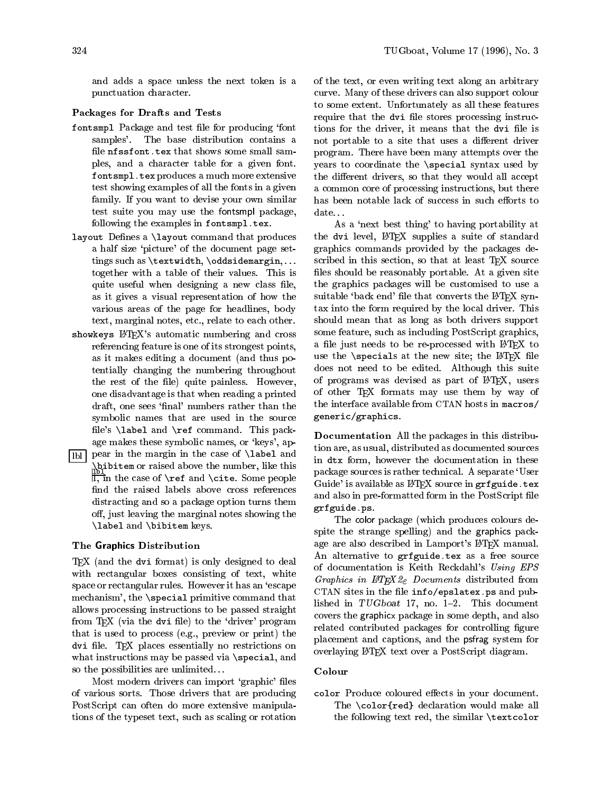and adds a space unless the next token is a punctuation character.

#### Packages for Drafts and Tests

- fontsmpl Package and test file for producing 'font samples'. The base distribution contains a file nfssfont.tex that shows some small samples, and a character table for a given font. fontsmpl.tex produces a much more extensive test showing examples of all the fonts in a given family. If you want to devise your own similar test suite you may use the fontsmpl package, date... following the examples in fontsmpl.tex.
- layout Defines a *\layout command that produces* a half size `picture' of the document page settings such as \textwidth, \oddsidemargin,... together with a table of their values. This is quite useful when designing a new class file, as it gives a visual representation of how the various areas of the page for headlines, body text, marginal notes, etc., relate to each other.
- showkeys L<sup>AT</sup>FX's automatic numbering and cross referencing feature is one of its strongest points, as it makes editing a document (and thus potentially changing the numbering throughout the rest of the file) quite painless. However, one disadvantage is that when reading a printed draft, one sees 'final' numbers rather than the symbolic names that are used in the source file's  $\aleph$  and  $\ref$  command. This package makes these symbolic names, or 'keys', ap-
- $\boxed{\text{lb}}$  pear in the margin in the case of **\label** and  $\begin{array}{ll} \frac{\text{Bb1}}{\text{I}} & \text{and} \\ \text{I} & \text{on} \end{array}$  in the case of **\ref** and **\cite.** Some people find the raised labels above cross references distracting and so a package option turns them off, just leaving the marginal notes showing the \label and \bibitem keys.

#### The Graphics Distribution

TEX (and the dvi format) is only designed to deal with rectangular boxes consisting of text, white space or rectangular rules. However it has an `escape mechanism', the \special primitive command that allows processing instructions to be passed straight from  $T_{E}X$  (via the dvi file) to the 'driver' program that is used to process (e.g., preview or print) the dvi file. TEX places essentially no restrictions on what instructions may be passed via  $\text{special}$ , and so the possibilities are unlimited. . .

Most modern drivers can import 'graphic' files of various sorts. Those drivers that are producing PostScript can often do more extensive manipulations of the typeset text, such as scaling or rotation of the text, or even writing text along an arbitrary curve. Many of these drivers can also support colour to some extent. Unfortunately as all these features require that the dvi file stores processing instructions for the driver, it means that the dvi file is not portable to a site that uses a different driver program. There have been many attempts over the years to coordinate the \special syntax used by the different drivers, so that they would all accept a common core of processing instructions, but there has been notable lack of success in such efforts to

As a 'next best thing' to having portability at the dvi level, LATEX supplies a suite of standard graphics commands provided by the packages described in this section, so that at least TFX source files should be reasonably portable. At a given site the graphics packages will be customised to use a suitable 'back end' file that converts the LATFX syntax into the form required by the local driver. This should mean that as long as both drivers support some feature, such as including PostScript graphics, a file just needs to be re-processed with LATEX to use the  $\searrow$  specials at the new site; the LATFX file does not need to be edited. Although this suite of programs was devised as part of LATFX, users of other T<sub>E</sub>X formats may use them by way of the interface available from CTAN hosts in macros/ generic/graphics.

Documentation All the packages in this distribution are, as usual, distributed as documented sources in dtx form, however the documentation in these package sources is rather technical. A separate `User Guide' is available as IATEX source in  $\operatorname{\texttt{grf}}\nolimits \operatorname{\texttt{guide}}\nolimits$  .  $\operatorname{\texttt{text}}\nolimits$ and also in pre-formatted form in the PostScript file grfguide.ps.

The color package (which produces colours despite the strange spelling) and the graphics package are also described in Lamport's L<sup>AT</sup>FX manual. An alternative to grfguide.tex as a free source of documentation is Keith Reckdahl's Using EPS Graphics in  $\text{MTEX} \, \text{2}_{\epsilon}$  Documents distributed from CTAN sites in the file  $info/epslatex.ps$  and published in TUGboat 17, no.  $1-2$ . This document covers the graphicx package in some depth, and also related contributed packages for controlling figure placement and captions, and the psfrag system for overlaying LATEX text over a PostScript diagram.

#### Colour

color Produce coloured effects in your document. The \color{red} declaration would make all the following text red, the similar \textcolor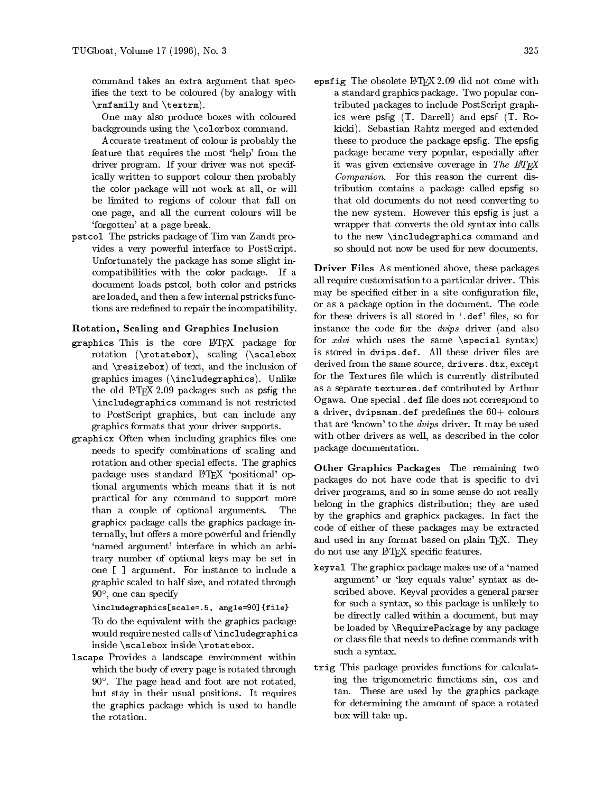command takes an extra argument that specifies the text to be coloured (by analogy with \rmfamily and \textrm).

One may also produce boxes with coloured backgrounds using the \colorbox command.

Accurate treatment of colour is probably the feature that requires the most 'help' from the driver program. If your driver was not specifically written to support colour then probably the color package will not work at all, or will be limited to regions of colour that fall on one page, and all the current colours will be `forgotten' at a page break.

pstcol The pstricks package of Tim van Zandt provides a very powerful interface to PostScript. Unfortunately the package has some slight incompatibilities with the color package. If a document loads pstcol, both color and pstricks are loaded, and then a few internal pstricks functions are redefined to repair the incompatibility.

#### Rotation, Scaling and Graphics Inclusion

- graphics This is the core LATEX package for rotation (\rotatebox), scaling (\scalebox and \resizebox) of text, and the inclusion of graphics images (\includegraphics). Unlike the old  $\text{LFT}$  $\chi$  2.09 packages such as psfig the \includegraphics command is not restricted to PostScript graphics, but can include any graphics formats that your driver supports.
- graphicx Often when including graphics files one needs to specify combinations of scaling and rotation and other special effects. The graphics package uses standard LATEX 'positional' optional arguments which means that it is not practical for any command to support more than a couple of optional arguments. The graphicx package calls the graphics package internally, but offers a more powerful and friendly `named argument' interface in which an arbitrary number of optional keys may be set in one [ ] argument. For instance to include a graphic scaled to half size, and rotated through 90 , one can specify

 $\mathcal{S}=\mathcal{S}=\mathcal{S}=\mathcal{S}=\mathcal{S}=\mathcal{S}=\mathcal{S}=\mathcal{S}=\mathcal{S}=\mathcal{S}=\mathcal{S}=\mathcal{S}=\mathcal{S}=\mathcal{S}=\mathcal{S}=\mathcal{S}=\mathcal{S}=\mathcal{S}=\mathcal{S}=\mathcal{S}=\mathcal{S}=\mathcal{S}=\mathcal{S}=\mathcal{S}=\mathcal{S}=\mathcal{S}=\mathcal{S}=\mathcal{S}=\mathcal{S}=\mathcal{S}=\mathcal{S}=\mathcal{S}=\mathcal{S}=\mathcal{S}=\mathcal{S}=\mathcal{S}=\mathcal{$ 

To do the equivalent with the graphics package would require nested calls of \includegraphics inside \scalebox inside \rotatebox.

lscape Provides a landscape environment within which the body of every page is rotated through 90 . The page head and foot are not rotated, but stay in their usual positions. It requires the graphics package which is used to handle the rotation.

epsfig The obsolete LATEX 2.09 did not come with a standard graphics package. Two popular contributed packages to include PostScript graphics were psfig  $(T.$  Darrell) and epsf  $(T.$  Rokicki). Sebastian Rahtz merged and extended these to produce the package epsfig. The epsfig package became very popular, especially after it was given extensive coverage in The IATEX Companion. For this reason the current distribution contains a package called epsfig so that old documents do not need converting to the new system. However this epsfig is just a wrapper that converts the old syntax into calls to the new \includegraphics command and so should not now be used for new documents.

Driver Files As mentioned above, these packages all require customisation to a particular driver. This may be specified either in a site configuration file, or as a package option in the document. The code for these drivers is all stored in '.def' files, so for instance the code for the dvips driver (and also for  $xdvi$  which uses the same \special syntax) is stored in dvips.def. All these driver files are derived from the same source, drivers.dtx, except for the Textures file which is currently distributed as a separate textures.def contributed by Arthur Ogawa. One special .def file does not correspond to a driver, dvipsnam.def predefines the  $60+$  colours that are 'known' to the *dvips* driver. It may be used with other drivers as well, as described in the color package documentation.

Other Graphics Packages The remaining two packages do not have code that is specific to dvi driver programs, and so in some sense do not really belong in the graphics distribution; they are used by the graphics and graphicx packages. In fact the code of either of these packages may be extracted and used in any format based on plain TEX. They do not use any IATFX specific features.

- keyval The graphicx package makes use of a `named argument' or `key equals value' syntax as described above. Keyval provides a general parser for such a syntax, so this package is unlikely to be directly called within a document, but may be loaded by \RequirePackage by any package or class file that needs to define commands with such a syntax.
- trig This package provides functions for calculating the trigonometric functions sin, cos and tan. These are used by the graphics package for determining the amount of space a rotated box will take up.